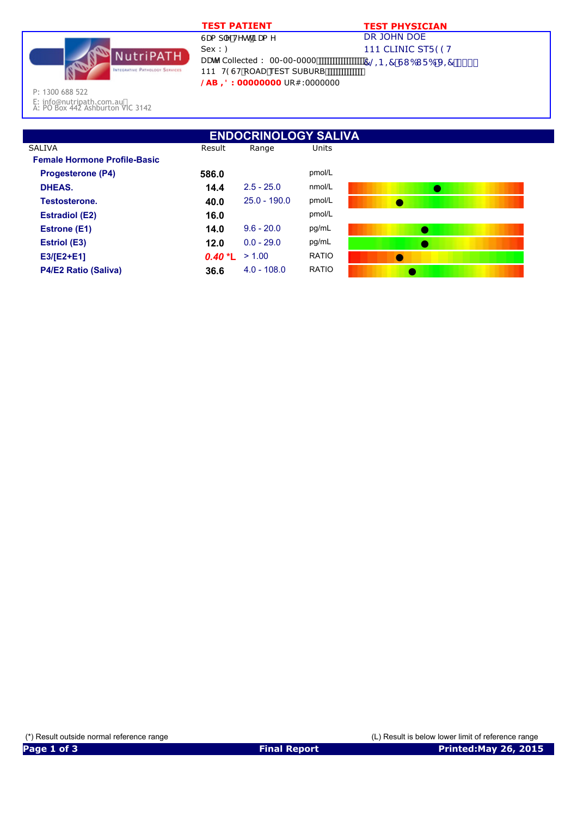

## **TEST PATIENT TEST PHYSICIAN**

DR JOHN DOE 111 CLINIC STF 99H DUhY Collected : 00-00-0000 700 7 © B = 7 GI 6I F 6 J = 7 S \$\$

P: 1300 688 522

E: info@nutripath.com.au A: PO Box 442 Ashburton VIC 3142

| <b>ENDOCRINOLOGY SALIVA</b>         |           |                |              |           |  |  |  |
|-------------------------------------|-----------|----------------|--------------|-----------|--|--|--|
| <b>SALIVA</b>                       | Result    | Range          | Units        |           |  |  |  |
| <b>Female Hormone Profile-Basic</b> |           |                |              |           |  |  |  |
| <b>Progesterone (P4)</b>            | 586.0     |                | pmol/L       |           |  |  |  |
| DHEAS.                              | 14.4      | $2.5 - 25.0$   | nmol/L       |           |  |  |  |
| Testosterone.                       | 40.0      | $25.0 - 190.0$ | pmol/L       |           |  |  |  |
| <b>Estradiol (E2)</b>               | 16.0      |                | pmol/L       |           |  |  |  |
| <b>Estrone (E1)</b>                 | 14.0      | $9.6 - 20.0$   | pg/mL        |           |  |  |  |
| <b>Estriol (E3)</b>                 | 12.0      | $0.0 - 29.0$   | pg/mL        |           |  |  |  |
| $E3/[E2+E1]$                        | $0.40 *L$ | > 1.00         | <b>RATIO</b> | $\bullet$ |  |  |  |
| <b>P4/E2 Ratio (Saliva)</b>         | 36.6      | $4.0 - 108.0$  | <b>RATIO</b> |           |  |  |  |

111 H9GH ROAD TEST SUBURB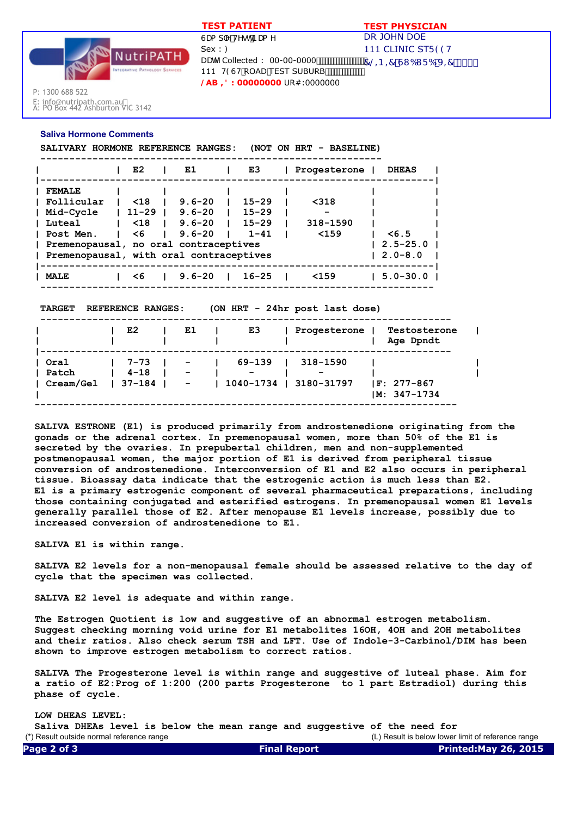

DR JOHN DOE 111 CLINIC STF 99H  $7@ - B = 7 G1 61 F6 J = 7$  \$\$\$ GUa d'Y HYghBUa Y  $Sex:$ : DUHY Collected : 00-00-0000 111 H9GH ROAD TEST SUBURB **/AB ,': 00000000** UR#:0000000  **TEST PATIENT TEST PHYSICIAN**

P: 1300 688 522

E: info@nutripath.com.au A: PO Box 442 Ashburton VIC 3142

## **Saliva Hormone Comments**

 **SALIVARY HORMONE REFERENCE RANGES: (NOT ON HRT - BASELINE)**

|                                                                                                                                                               | E <sub>2</sub>                            | E1                                                   | E3                                              | Progesterone               | <b>DHEAS</b>                            |
|---------------------------------------------------------------------------------------------------------------------------------------------------------------|-------------------------------------------|------------------------------------------------------|-------------------------------------------------|----------------------------|-----------------------------------------|
| <b>FEMALE</b><br>l Follicular<br>  Mid-Cycle<br>  Luteal<br>I Post Men.<br>  Premenopausal, no oral contraceptives<br>Premenopausal, with oral contraceptives | $\leq 18$<br>$11 - 29$<br>$\leq 18$<br>≺6 | $9.6 - 20$<br>$9.6 - 20$<br>$9.6 - 20$<br>$9.6 - 20$ | $15 - 29$<br>$15 - 29$<br>$15 - 29$<br>$1 - 41$ | < 318<br>318-1590<br>$159$ | $\leq 6.5$<br>$2.5 - 25.0$<br>∣ 2.0-8.0 |
| <b>MALE</b>                                                                                                                                                   | - 6                                       | $9.6 - 20$                                           | $16 - 25$                                       | < 159                      | $5.0 - 30.0$                            |

 **TARGET REFERENCE RANGES: (ON HRT - 24hr post last dose)**

|           | E2              | E1                       | E3     | Progesterone           | Testosterone<br>Age Dpndt         |  |
|-----------|-----------------|--------------------------|--------|------------------------|-----------------------------------|--|
| l Oral    | 7–73 I –        |                          | 69-139 | 318-1590               |                                   |  |
| Patch     | $4 - 18$        | $\overline{\phantom{a}}$ | -      |                        |                                   |  |
| Cream/Gel | $137 - 184$ $-$ |                          |        | 1040-1734   3180-31797 | $ F: 277-867$<br>$IM: 347 - 1734$ |  |

**SALIVA ESTRONE (E1) is produced primarily from androstenedione originating from the gonads or the adrenal cortex. In premenopausal women, more than 50% of the E1 is secreted by the ovaries. In prepubertal children, men and non-supplemented postmenopausal women, the major portion of E1 is derived from peripheral tissue conversion of androstenedione. Interconversion of E1 and E2 also occurs in peripheral tissue. Bioassay data indicate that the estrogenic action is much less than E2. E1 is a primary estrogenic component of several pharmaceutical preparations, including those containing conjugated and esterified estrogens. In premenopausal women E1 levels generally parallel those of E2. After menopause E1 levels increase, possibly due to increased conversion of androstenedione to E1.**

**SALIVA E1 is within range.**

**SALIVA E2 levels for a non-menopausal female should be assessed relative to the day of cycle that the specimen was collected.**

**SALIVA E2 level is adequate and within range.**

**The Estrogen Quotient is low and suggestive of an abnormal estrogen metabolism. Suggest checking morning void urine for E1 metabolites 16OH, 4OH and 2OH metabolites and their ratios. Also check serum TSH and LFT. Use of Indole-3-Carbinol/DIM has been shown to improve estrogen metabolism to correct ratios.**

**SALIVA The Progesterone level is within range and suggestive of luteal phase. Aim for a ratio of E2:Prog of 1:200 (200 parts Progesterone to 1 part Estradiol) during this phase of cycle.**

**LOW DHEAS LEVEL: Saliva DHEAs level is below the mean range and suggestive of the need for**  (\*) Result outside normal reference range (L) Result is below lower limit of reference range **Page 2 of 3 Final Report Printed:May 26, 2015**